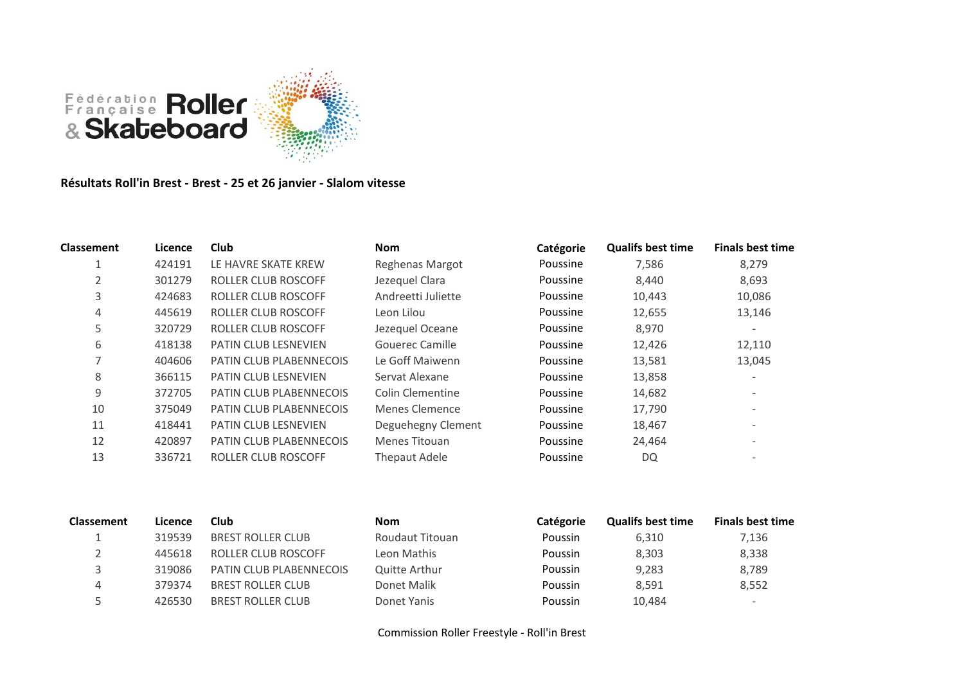

**Résultats Roll'in Brest - Brest - 25 et 26 janvier - Slalom vitesse**

| <b>Classement</b> | Licence | Club                           | <b>Nom</b>              | Catégorie | <b>Qualifs best time</b> | <b>Finals best time</b>  |
|-------------------|---------|--------------------------------|-------------------------|-----------|--------------------------|--------------------------|
|                   | 424191  | LE HAVRE SKATE KREW            | <b>Reghenas Margot</b>  | Poussine  | 7,586                    | 8,279                    |
|                   | 301279  | <b>ROLLER CLUB ROSCOFF</b>     | Jezequel Clara          | Poussine  | 8,440                    | 8,693                    |
| 3                 | 424683  | ROLLER CLUB ROSCOFF            | Andreetti Juliette      | Poussine  | 10,443                   | 10,086                   |
| 4                 | 445619  | <b>ROLLER CLUB ROSCOFF</b>     | Leon Lilou              | Poussine  | 12,655                   | 13,146                   |
| 5                 | 320729  | <b>ROLLER CLUB ROSCOFF</b>     | Jezequel Oceane         | Poussine  | 8,970                    | $\overline{\phantom{a}}$ |
| 6                 | 418138  | <b>PATIN CLUB LESNEVIEN</b>    | Gouerec Camille         | Poussine  | 12,426                   | 12,110                   |
| 7                 | 404606  | <b>PATIN CLUB PLABENNECOIS</b> | Le Goff Maiwenn         | Poussine  | 13,581                   | 13,045                   |
| 8                 | 366115  | PATIN CLUB LESNEVIEN           | Servat Alexane          | Poussine  | 13,858                   | $\overline{\phantom{a}}$ |
| 9                 | 372705  | PATIN CLUB PLABENNECOIS        | <b>Colin Clementine</b> | Poussine  | 14,682                   |                          |
| 10                | 375049  | PATIN CLUB PLABENNECOIS        | Menes Clemence          | Poussine  | 17,790                   | $\overline{\phantom{a}}$ |
| 11                | 418441  | <b>PATIN CLUB LESNEVIEN</b>    | Deguehegny Clement      | Poussine  | 18,467                   | $\overline{\phantom{a}}$ |
| 12                | 420897  | <b>PATIN CLUB PLABENNECOIS</b> | Menes Titouan           | Poussine  | 24,464                   |                          |
| 13                | 336721  | ROLLER CLUB ROSCOFF            | Thepaut Adele           | Poussine  | DQ                       |                          |

| <b>Classement</b> | Licence | Club                           | <b>Nom</b>      | Catégorie | <b>Qualifs best time</b> | <b>Finals best time</b>  |
|-------------------|---------|--------------------------------|-----------------|-----------|--------------------------|--------------------------|
|                   | 319539  | <b>BREST ROLLER CLUB</b>       | Roudaut Titouan | Poussin   | 6.310                    | 7,136                    |
|                   | 445618  | ROLLER CLUB ROSCOFF            | Leon Mathis     | Poussin   | 8.303                    | 8,338                    |
|                   | 319086  | <b>PATIN CLUB PLABENNECOIS</b> | Quitte Arthur   | Poussin   | 9.283                    | 8,789                    |
|                   | 379374  | <b>BREST ROLLER CLUB</b>       | Donet Malik     | Poussin   | 8.591                    | 8,552                    |
|                   | 426530  | <b>BREST ROLLER CLUB</b>       | Donet Yanis     | Poussin   | 10,484                   | $\overline{\phantom{a}}$ |

Commission Roller Freestyle - Roll'in Brest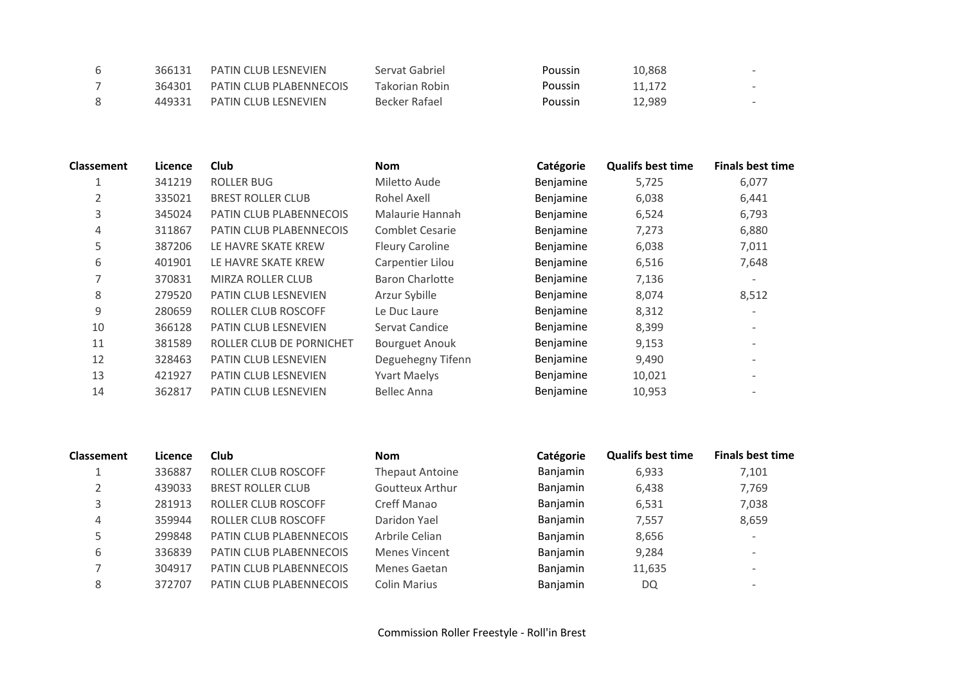| 366131 | <b>PATIN CLUB LESNEVIEN</b> | Servat Gabriel | <b>Poussin</b> | 10,868 |  |
|--------|-----------------------------|----------------|----------------|--------|--|
| 364301 | PATIN CLUB PLABENNECOIS     | Takorian Robin | <b>Poussin</b> | 11.172 |  |
| 449331 | <b>PATIN CLUB LESNEVIEN</b> | Becker Rafael  | <b>Poussin</b> | 12.989 |  |

| <b>Classement</b> | Licence | <b>Club</b>                    | <b>Nom</b>             | Catégorie | <b>Qualifs best time</b> | <b>Finals best time</b> |
|-------------------|---------|--------------------------------|------------------------|-----------|--------------------------|-------------------------|
|                   | 341219  | <b>ROLLER BUG</b>              | Miletto Aude           | Benjamine | 5,725                    | 6,077                   |
|                   | 335021  | <b>BREST ROLLER CLUB</b>       | Rohel Axell            | Benjamine | 6,038                    | 6,441                   |
| 3                 | 345024  | <b>PATIN CLUB PLABENNECOIS</b> | Malaurie Hannah        | Benjamine | 6,524                    | 6,793                   |
| 4                 | 311867  | PATIN CLUB PLABENNECOIS        | <b>Comblet Cesarie</b> | Benjamine | 7,273                    | 6,880                   |
| 5                 | 387206  | LE HAVRE SKATE KREW            | <b>Fleury Caroline</b> | Benjamine | 6,038                    | 7,011                   |
| 6                 | 401901  | LE HAVRE SKATE KREW            | Carpentier Lilou       | Benjamine | 6,516                    | 7,648                   |
|                   | 370831  | <b>MIRZA ROLLER CLUB</b>       | Baron Charlotte        | Benjamine | 7,136                    |                         |
| 8                 | 279520  | <b>PATIN CLUB LESNEVIEN</b>    | Arzur Sybille          | Benjamine | 8,074                    | 8,512                   |
| 9                 | 280659  | ROLLER CLUB ROSCOFF            | Le Duc Laure           | Benjamine | 8,312                    |                         |
| 10                | 366128  | <b>PATIN CLUB LESNEVIEN</b>    | Servat Candice         | Benjamine | 8,399                    |                         |
| 11                | 381589  | ROLLER CLUB DE PORNICHET       | <b>Bourguet Anouk</b>  | Benjamine | 9,153                    |                         |
| 12                | 328463  | <b>PATIN CLUB LESNEVIEN</b>    | Deguehegny Tifenn      | Benjamine | 9,490                    |                         |
| 13                | 421927  | PATIN CLUB LESNEVIEN           | <b>Yvart Maelys</b>    | Benjamine | 10,021                   |                         |
| 14                | 362817  | <b>PATIN CLUB LESNEVIEN</b>    | Bellec Anna            | Benjamine | 10,953                   |                         |
|                   |         |                                |                        |           |                          |                         |

| <b>Finals best time</b>  |
|--------------------------|
| 7,101                    |
| 7,769                    |
| 7,038                    |
| 8,659                    |
| $\overline{\phantom{0}}$ |
| $\overline{\phantom{a}}$ |
| $\overline{\phantom{a}}$ |
| $\overline{\phantom{a}}$ |
|                          |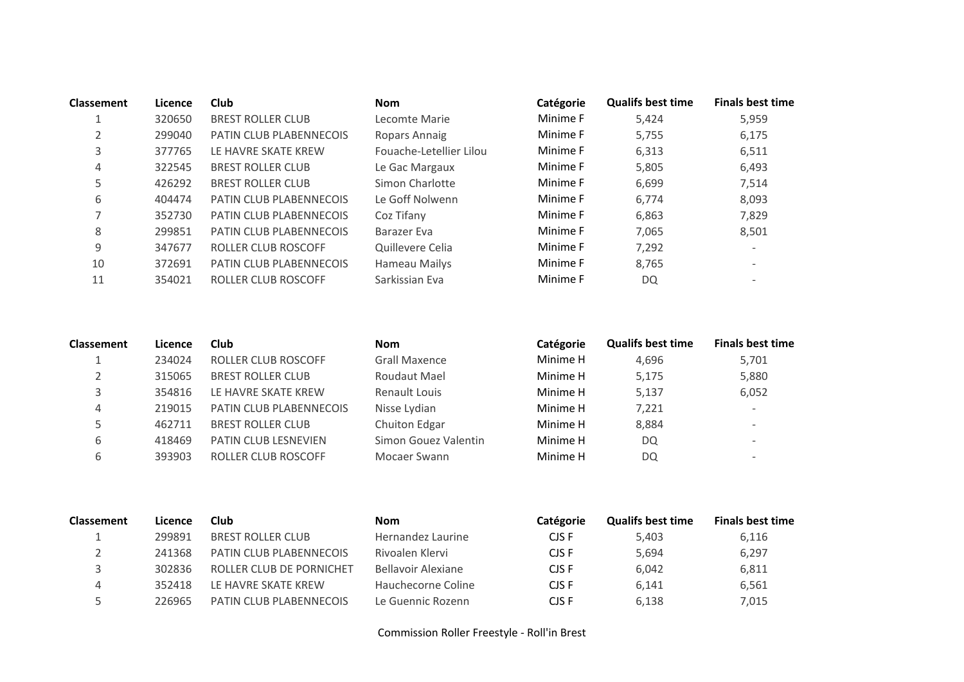| <b>Classement</b> | Licence | <b>Club</b>                    | <b>Nom</b>              | Catégorie | <b>Qualifs best time</b> | <b>Finals best time</b>  |
|-------------------|---------|--------------------------------|-------------------------|-----------|--------------------------|--------------------------|
|                   | 320650  | <b>BREST ROLLER CLUB</b>       | Lecomte Marie           | Minime F  | 5.424                    | 5,959                    |
| 2                 | 299040  | <b>PATIN CLUB PLABENNECOIS</b> | Ropars Annaig           | Minime F  | 5,755                    | 6,175                    |
| 3                 | 377765  | LE HAVRE SKATE KREW            | Fouache-Letellier Lilou | Minime F  | 6,313                    | 6,511                    |
| 4                 | 322545  | <b>BREST ROLLER CLUB</b>       | Le Gac Margaux          | Minime F  | 5,805                    | 6,493                    |
| 5                 | 426292  | <b>BREST ROLLER CLUB</b>       | Simon Charlotte         | Minime F  | 6,699                    | 7,514                    |
| 6                 | 404474  | <b>PATIN CLUB PLABENNECOIS</b> | Le Goff Nolwenn         | Minime F  | 6,774                    | 8,093                    |
|                   | 352730  | <b>PATIN CLUB PLABENNECOIS</b> | Coz Tifany              | Minime F  | 6,863                    | 7,829                    |
| 8                 | 299851  | <b>PATIN CLUB PLABENNECOIS</b> | Barazer Eva             | Minime F  | 7,065                    | 8,501                    |
| 9                 | 347677  | <b>ROLLER CLUB ROSCOFF</b>     | Quillevere Celia        | Minime F  | 7,292                    | $\overline{\phantom{a}}$ |
| 10                | 372691  | <b>PATIN CLUB PLABENNECOIS</b> | Hameau Mailys           | Minime F  | 8,765                    | $\overline{\phantom{a}}$ |
| 11                | 354021  | <b>ROLLER CLUB ROSCOFF</b>     | Sarkissian Eva          | Minime F  | DQ                       | $\overline{\phantom{0}}$ |

| <b>Classement</b> | Licence | <b>Club</b>                    | <b>Nom</b>           | Catégorie | <b>Qualifs best time</b> | <b>Finals best time</b>  |
|-------------------|---------|--------------------------------|----------------------|-----------|--------------------------|--------------------------|
|                   | 234024  | ROLLER CLUB ROSCOFF            | <b>Grall Maxence</b> | Minime H  | 4,696                    | 5,701                    |
|                   | 315065  | <b>BREST ROLLER CLUB</b>       | Roudaut Mael         | Minime H  | 5.175                    | 5,880                    |
|                   | 354816  | LE HAVRE SKATE KREW            | Renault Louis        | Minime H  | 5.137                    | 6,052                    |
| 4                 | 219015  | <b>PATIN CLUB PLABENNECOIS</b> | Nisse Lydian         | Minime H  | 7,221                    | $\overline{\phantom{a}}$ |
|                   | 462711  | <b>BREST ROLLER CLUB</b>       | Chuiton Edgar        | Minime H  | 8,884                    | $\overline{\phantom{0}}$ |
|                   | 418469  | <b>PATIN CLUB LESNEVIEN</b>    | Simon Gouez Valentin | Minime H  | DQ                       | $\overline{\phantom{0}}$ |
|                   | 393903  | ROLLER CLUB ROSCOFF            | Mocaer Swann         | Minime H  | DQ                       | $\overline{\phantom{0}}$ |

| <b>Classement</b> | Licence | Club                           | <b>Nom</b>         | Catégorie | <b>Qualifs best time</b> | <b>Finals best time</b> |
|-------------------|---------|--------------------------------|--------------------|-----------|--------------------------|-------------------------|
|                   | 299891  | <b>BREST ROLLER CLUB</b>       | Hernandez Laurine  | CJS F     | 5.403                    | 6,116                   |
|                   | 241368  | PATIN CLUB PLABENNECOIS        | Rivoalen Klervi    | CJS F     | 5.694                    | 6,297                   |
|                   | 302836  | ROLLER CLUB DE PORNICHET       | Bellavoir Alexiane | CJS F     | 6.042                    | 6,811                   |
| 4                 | 352418  | LE HAVRE SKATE KREW            | Hauchecorne Coline | CJS F     | 6.141                    | 6,561                   |
|                   | 226965  | <b>PATIN CLUB PLABENNECOIS</b> | Le Guennic Rozenn  | CJS F     | 6.138                    | 7,015                   |

Commission Roller Freestyle - Roll'in Brest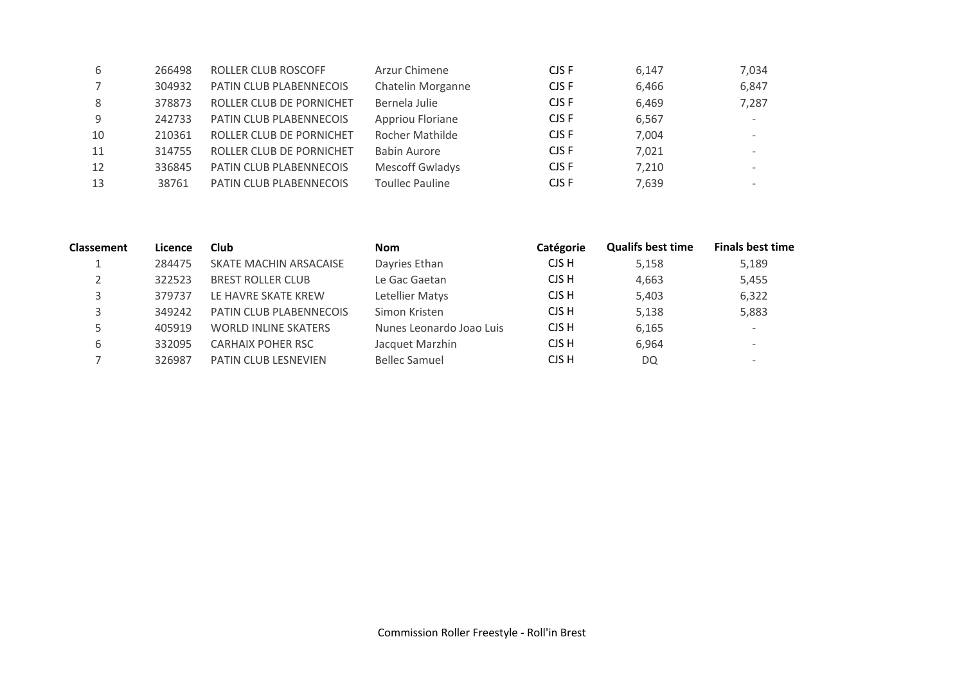| 6  | 266498 | ROLLER CLUB ROSCOFF      | Arzur Chimene          | CJS F | 6,147 | 7,034                    |
|----|--------|--------------------------|------------------------|-------|-------|--------------------------|
|    | 304932 | PATIN CLUB PLABENNECOIS  | Chatelin Morganne      | CJS F | 6,466 | 6,847                    |
| 8  | 378873 | ROLLER CLUB DE PORNICHET | Bernela Julie          | CJS F | 6,469 | 7,287                    |
| 9  | 242733 | PATIN CLUB PLABENNECOIS  | Appriou Floriane       | CJS F | 6,567 | $\overline{\phantom{a}}$ |
| 10 | 210361 | ROLLER CLUB DE PORNICHET | Rocher Mathilde        | CJS F | 7,004 | $\overline{\phantom{a}}$ |
| 11 | 314755 | ROLLER CLUB DE PORNICHET | <b>Babin Aurore</b>    | CJS F | 7,021 |                          |
| 12 | 336845 | PATIN CLUB PLABENNECOIS  | <b>Mescoff Gwladys</b> | CJS F | 7,210 | $\overline{\phantom{a}}$ |
| 13 | 38761  | PATIN CLUB PLABENNECOIS  | <b>Toullec Pauline</b> | CJS F | 7,639 | $\overline{\phantom{a}}$ |

| <b>Classement</b> | Licence | <b>Club</b>                 | <b>Nom</b>               | Catégorie | <b>Qualifs best time</b> | <b>Finals best time</b>  |
|-------------------|---------|-----------------------------|--------------------------|-----------|--------------------------|--------------------------|
|                   | 284475  | SKATE MACHIN ARSACAISE      | Dayries Ethan            | CJS H     | 5,158                    | 5,189                    |
|                   | 322523  | <b>BREST ROLLER CLUB</b>    | Le Gac Gaetan            | CJS H     | 4,663                    | 5,455                    |
|                   | 379737  | LE HAVRE SKATE KREW         | Letellier Matys          | CJS H     | 5,403                    | 6,322                    |
|                   | 349242  | PATIN CLUB PLABENNECOIS     | Simon Kristen            | CJS H     | 5,138                    | 5,883                    |
|                   | 405919  | <b>WORLD INLINE SKATERS</b> | Nunes Leonardo Joao Luis | CJS H     | 6,165                    | $\overline{\phantom{a}}$ |
| b                 | 332095  | <b>CARHAIX POHER RSC</b>    | Jacquet Marzhin          | CJS H     | 6,964                    | $\overline{\phantom{0}}$ |
|                   | 326987  | <b>PATIN CLUB LESNEVIEN</b> | <b>Bellec Samuel</b>     | CJS H     | <b>DQ</b>                | $\overline{\phantom{a}}$ |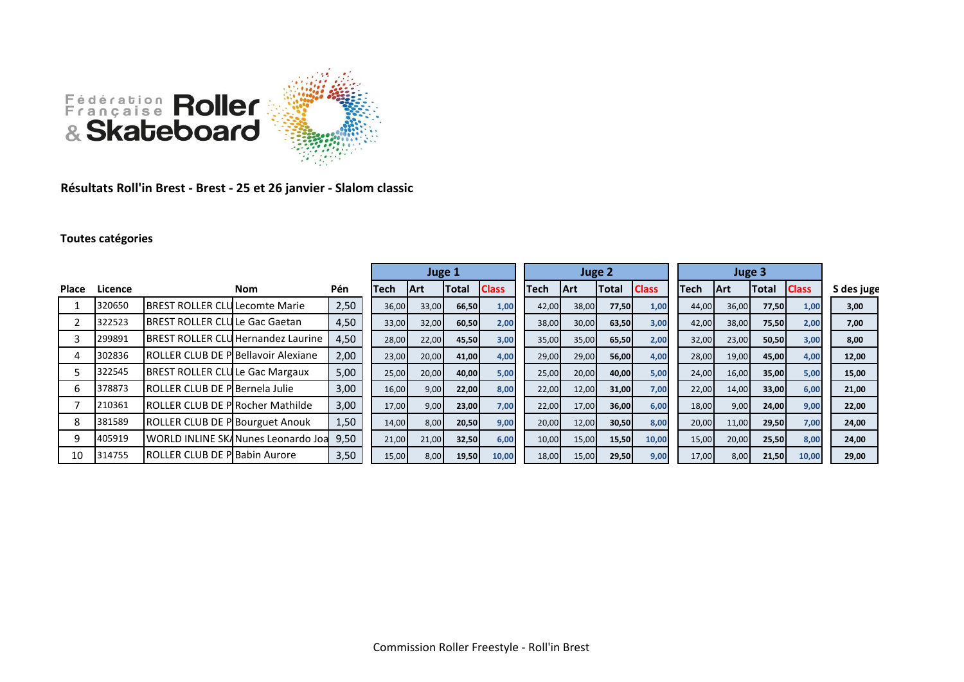

**Résultats Roll'in Brest - Brest - 25 et 26 janvier - Slalom classic**

## **Toutes catégories**

|              |         |                                             |                                           |      | Juge 1 |             |              | Juge 2       |             |             |              | Juge 3       |             |       |              |              |            |
|--------------|---------|---------------------------------------------|-------------------------------------------|------|--------|-------------|--------------|--------------|-------------|-------------|--------------|--------------|-------------|-------|--------------|--------------|------------|
| <b>Place</b> | Licence |                                             | <b>Nom</b>                                | Pén  | Tech   | <b>IArt</b> | <b>Total</b> | <b>Class</b> | <b>Tech</b> | <b>IArt</b> | <b>Total</b> | <b>Class</b> | <b>Tech</b> | lArt  | <b>Total</b> | <b>Class</b> | S des juge |
|              | 320650  | <b>IBREST ROLLER CLULecomte Marie</b>       |                                           | 2,50 | 36,00  | 33,00       | 66,50        | 1,00         | 42,00       | 38,00       | 77,50        | 1,00         | 44,00       | 36,00 | 77,50        | 1,00         | 3,00       |
|              | 322523  | IBREST ROLLER CLULLe Gac Gaetan             |                                           | 4,50 | 33,00  | 32,00       | 60,50        | 2,00         | 38,00       | 30,00       | 63,50        | 3,00         | 42,00       | 38,00 | 75,50        | 2,00         | 7,00       |
|              | 299891  |                                             | <b>IBREST ROLLER CLUHernandez Laurine</b> | 4,50 | 28,00  | 22,00       | 45,50        | 3,00         | 35,00       | 35,00       | 65,50        | 2,00         | 32,00       | 23,00 | 50,50        | 3,00         | 8,00       |
|              | 302836  | <b>IROLLER CLUB DE PIBellavoir Alexiane</b> |                                           | 2,00 | 23,00  | 20,00       | 41,00        | 4,00         | 29,00       | 29,00       | 56,00        | 4,00         | 28,00       | 19,00 | 45,00        | 4,00         | 12,00      |
|              | 322545  | <b>BREST ROLLER CLULE Gac Margaux</b>       |                                           | 5,00 | 25,00  | 20,00       | 40,00        | 5,00         | 25,00       | 20,00       | 40,00        | 5,00         | 24,00       | 16,00 | 35,00        | 5,00         | 15,00      |
|              | 378873  | <b>IROLLER CLUB DE PIBernela Julie</b>      |                                           | 3,00 | 16,00  | 9,00        | 22,00        | 8,00         | 22,00       | 12,00       | 31,00        | 7,00         | 22,00       | 14,00 | 33,00        | 6,00         | 21,00      |
|              | 210361  | <b>IROLLER CLUB DE PIRocher Mathilde</b>    |                                           | 3,00 | 17,00  | 9,00        | 23,00        | 7,00         | 22,00       | 17,00       | 36,00        | 6,00         | 18,00       | 9,00  | 24,00        | 9,00         | 22,00      |
| 8            | 381589  | ROLLER CLUB DE P Bourguet Anouk             |                                           | 1,50 | 14,00  | 8,00        | 20,50        | 9,00         | 20,00       | 12,00       | 30,50        | 8,00         | 20,00       | 11,00 | 29,50        | 7,00         | 24,00      |
|              | 405919  |                                             | WORLD INLINE SKANunes Leonardo Joa        | 9,50 | 21,00  | 21,00       | 32,50        | 6,00         | 10,00       | 15,00       | 15,50        | 10,00        | 15,00       | 20,00 | 25,50        | 8,00         | 24,00      |
| 10           | 314755  | <b>IROLLER CLUB DE PIBabin Aurore</b>       |                                           | 3,50 | 15,00  | 8,00        | 19,50        | 10,00        | 18,00       | 15,00       | 29,50        | 9,00         | 17,00       | 8,00  | 21,50        | 10,00        | 29,00      |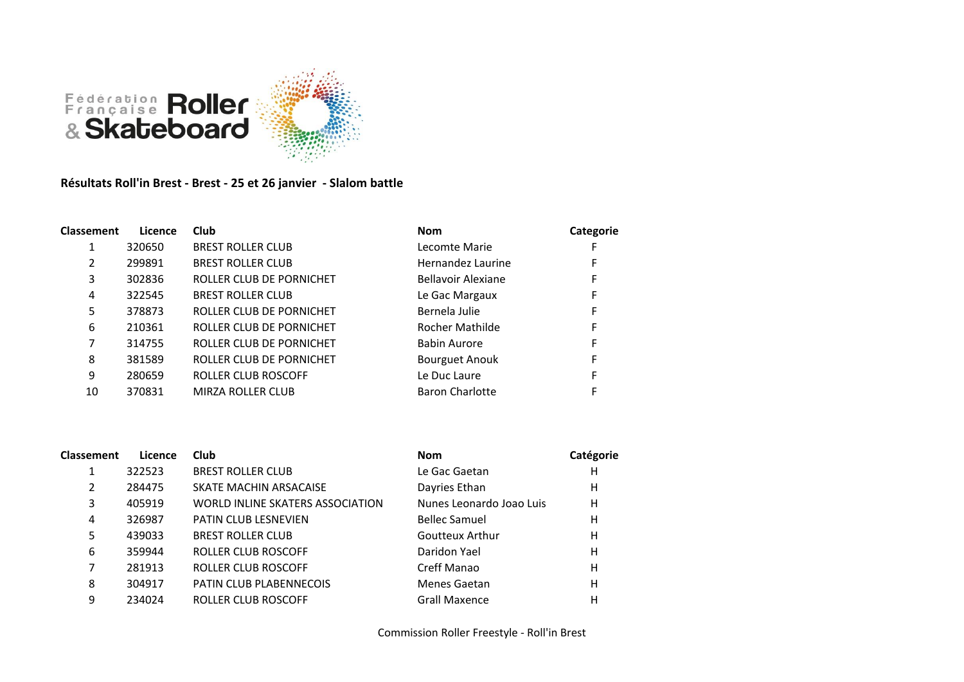

## **Résultats Roll'in Brest - Brest - 25 et 26 janvier - Slalom battle**

| Classement | Licence | Club                     | <b>Nom</b>             | Categorie |
|------------|---------|--------------------------|------------------------|-----------|
|            | 320650  | <b>BREST ROLLER CLUB</b> | Lecomte Marie          |           |
| 2          | 299891  | <b>BREST ROLLER CLUB</b> | Hernandez Laurine      | F         |
| 3          | 302836  | ROLLER CLUB DE PORNICHET | Bellavoir Alexiane     | F         |
| 4          | 322545  | <b>BREST ROLLER CLUB</b> | Le Gac Margaux         | F         |
| 5          | 378873  | ROLLER CLUB DE PORNICHET | Bernela Julie          | F         |
| 6          | 210361  | ROLLER CLUB DE PORNICHET | Rocher Mathilde        | F         |
| 7          | 314755  | ROLLER CLUB DE PORNICHET | <b>Babin Aurore</b>    | F         |
| 8          | 381589  | ROLLER CLUB DE PORNICHET | <b>Bourguet Anouk</b>  | F         |
| 9          | 280659  | ROLLER CLUB ROSCOFF      | Le Duc Laure           | F         |
| 10         | 370831  | MIRZA ROLLER CLUB        | <b>Baron Charlotte</b> |           |

| <b>Classement</b> | Licence | <b>Club</b>                      | <b>Nom</b>               | Catégorie |
|-------------------|---------|----------------------------------|--------------------------|-----------|
|                   | 322523  | <b>BREST ROLLER CLUB</b>         | Le Gac Gaetan            | н         |
| 2                 | 284475  | SKATE MACHIN ARSACAISE           | Dayries Ethan            | н         |
| 3                 | 405919  | WORLD INLINE SKATERS ASSOCIATION | Nunes Leonardo Joao Luis | Η         |
| 4                 | 326987  | <b>PATIN CLUB LESNEVIEN</b>      | <b>Bellec Samuel</b>     | Η         |
| 5.                | 439033  | <b>BREST ROLLER CLUB</b>         | <b>Goutteux Arthur</b>   | н         |
| 6                 | 359944  | ROLLER CLUB ROSCOFF              | Daridon Yael             | н         |
|                   | 281913  | ROLLER CLUB ROSCOFF              | Creff Manao              | н         |
| 8                 | 304917  | PATIN CLUB PLABENNECOIS          | Menes Gaetan             | н         |
| 9                 | 234024  | ROLLER CLUB ROSCOFF              | <b>Grall Maxence</b>     | н         |
|                   |         |                                  |                          |           |

Commission Roller Freestyle - Roll'in Brest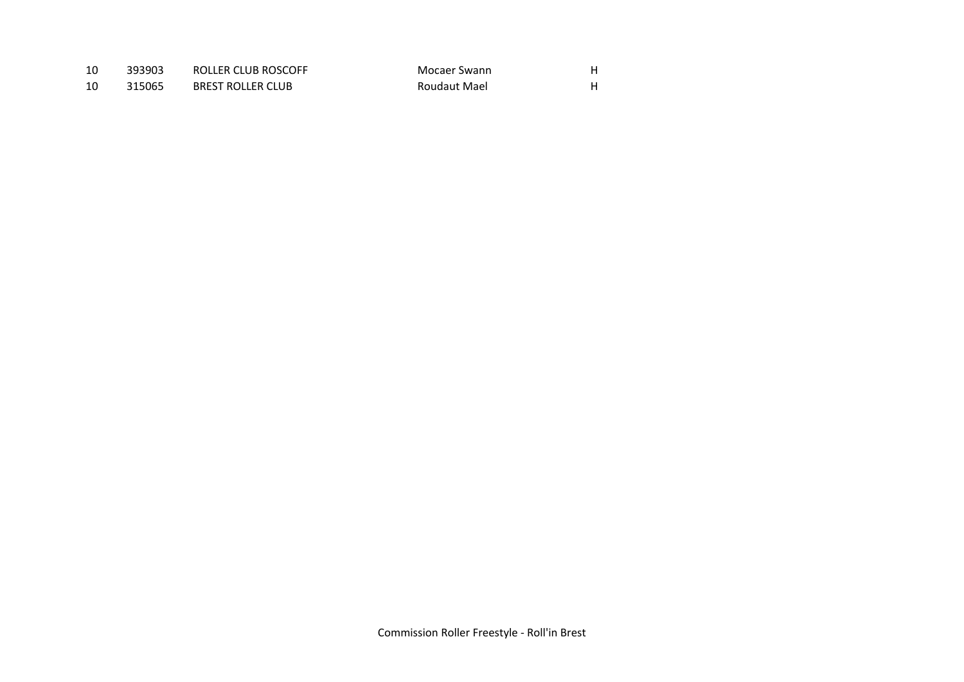| 10 | 393903 | ROLLER CLUB ROSCOFF      | Mocaer Swann |  |
|----|--------|--------------------------|--------------|--|
|    | 315065 | <b>BREST ROLLER CLUB</b> | Roudaut Mael |  |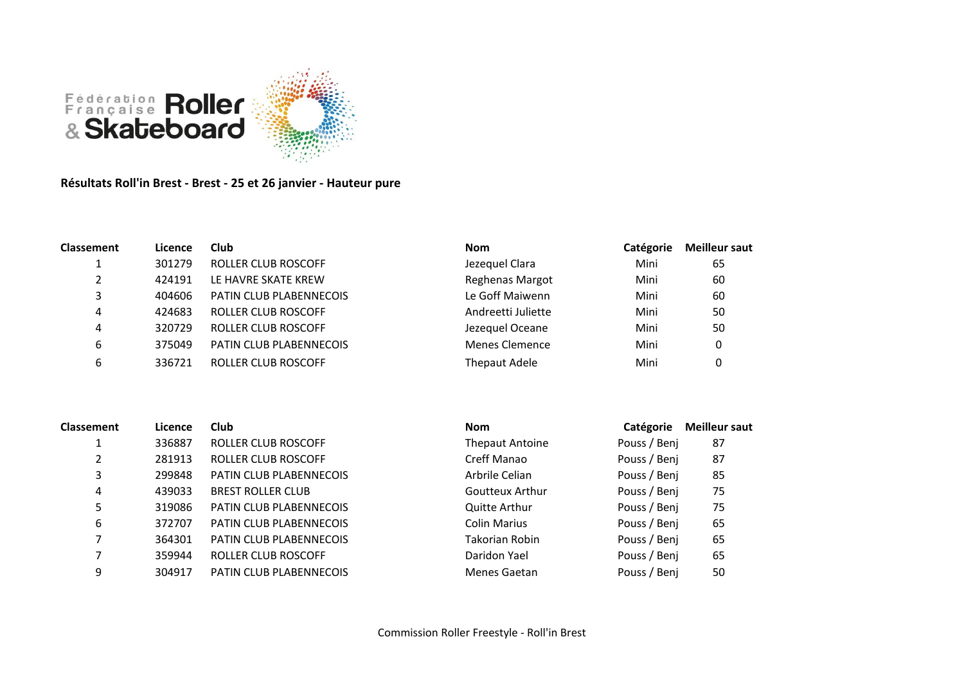

**Résultats Roll'in Brest - Brest - 25 et 26 janvier - Hauteur pure**

| <b>Classement</b> | Licence | Club                       | <b>Nom</b>             | Catégorie | <b>Meilleur saut</b> |
|-------------------|---------|----------------------------|------------------------|-----------|----------------------|
|                   | 301279  | <b>ROLLER CLUB ROSCOFF</b> | Jezequel Clara         | Mini      | 65                   |
| 2                 | 424191  | LE HAVRE SKATE KREW        | <b>Reghenas Margot</b> | Mini      | 60                   |
| 3                 | 404606  | PATIN CLUB PLABENNECOIS    | Le Goff Maiwenn        | Mini      | 60                   |
| 4                 | 424683  | ROLLER CLUB ROSCOFF        | Andreetti Juliette     | Mini      | 50                   |
| 4                 | 320729  | ROLLER CLUB ROSCOFF        | Jezequel Oceane        | Mini      | 50                   |
| 6                 | 375049  | PATIN CLUB PLABENNECOIS    | <b>Menes Clemence</b>  | Mini      | 0                    |
| 6                 | 336721  | <b>ROLLER CLUB ROSCOFF</b> | <b>Thepaut Adele</b>   | Mini      | 0                    |

| <b>Classement</b> | Licence | Club                           | <b>Nom</b>             | Catégorie    | <b>Meilleur saut</b> |
|-------------------|---------|--------------------------------|------------------------|--------------|----------------------|
|                   | 336887  | ROLLER CLUB ROSCOFF            | <b>Thepaut Antoine</b> | Pouss / Benj | 87                   |
|                   | 281913  | ROLLER CLUB ROSCOFF            | Creff Manao            | Pouss / Benj | 87                   |
| 3                 | 299848  | <b>PATIN CLUB PLABENNECOIS</b> | Arbrile Celian         | Pouss / Benj | 85                   |
| 4                 | 439033  | <b>BREST ROLLER CLUB</b>       | Goutteux Arthur        | Pouss / Benj | 75                   |
|                   | 319086  | <b>PATIN CLUB PLABENNECOIS</b> | <b>Quitte Arthur</b>   | Pouss / Benj | 75                   |
| 6                 | 372707  | PATIN CLUB PLABENNECOIS        | <b>Colin Marius</b>    | Pouss / Benj | 65                   |
|                   | 364301  | PATIN CLUB PLABENNECOIS        | Takorian Robin         | Pouss / Benj | 65                   |
|                   | 359944  | ROLLER CLUB ROSCOFF            | Daridon Yael           | Pouss / Benj | 65                   |
| 9                 | 304917  | PATIN CLUB PLABENNECOIS        | Menes Gaetan           | Pouss / Benj | 50                   |
|                   |         |                                |                        |              |                      |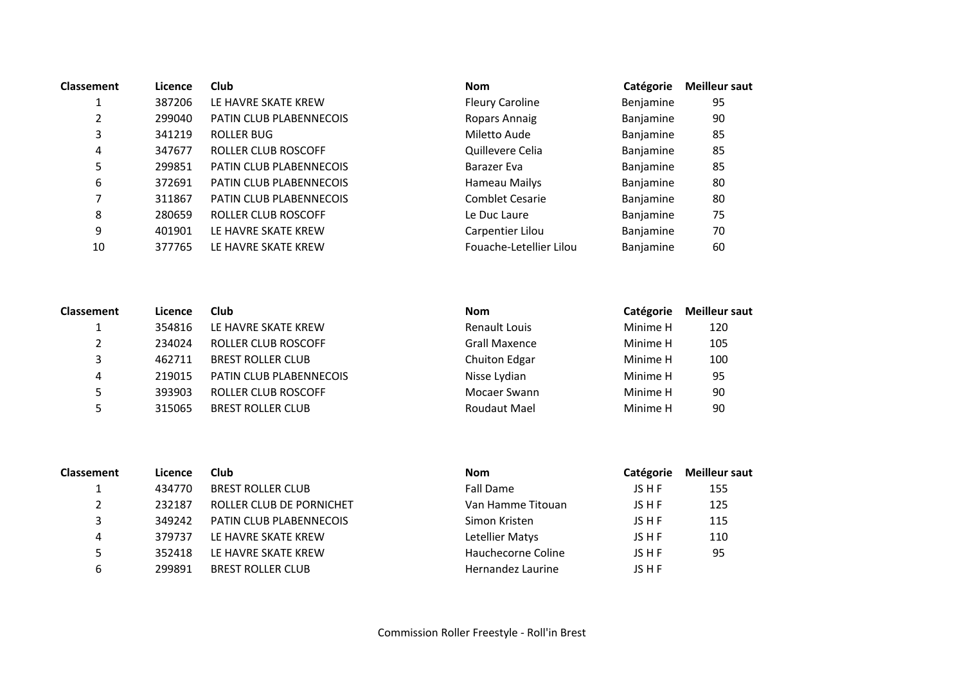| <b>Classement</b> | Licence | <b>Club</b>                    | <b>Nom</b>              | Catégorie | <b>Meilleur saut</b> |
|-------------------|---------|--------------------------------|-------------------------|-----------|----------------------|
|                   | 387206  | LE HAVRE SKATE KREW            | <b>Fleury Caroline</b>  | Benjamine | 95                   |
|                   | 299040  | PATIN CLUB PLABENNECOIS        | Ropars Annaig           | Banjamine | 90                   |
| 3                 | 341219  | ROLLER BUG                     | Miletto Aude            | Banjamine | 85                   |
| 4                 | 347677  | ROLLER CLUB ROSCOFF            | Quillevere Celia        | Banjamine | 85                   |
| 5                 | 299851  | PATIN CLUB PLABENNECOIS        | Barazer Eva             | Banjamine | 85                   |
| 6                 | 372691  | <b>PATIN CLUB PLABENNECOIS</b> | Hameau Mailys           | Banjamine | 80                   |
|                   | 311867  | PATIN CLUB PLABENNECOIS        | <b>Comblet Cesarie</b>  | Banjamine | 80                   |
| 8                 | 280659  | ROLLER CLUB ROSCOFF            | Le Duc Laure            | Banjamine | 75                   |
| 9                 | 401901  | LE HAVRE SKATE KREW            | Carpentier Lilou        | Banjamine | 70                   |
| 10                | 377765  | LE HAVRE SKATE KREW            | Fouache-Letellier Lilou | Banjamine | 60                   |
|                   |         |                                |                         |           |                      |

| <b>Classement</b> | Licence | Club                           | <b>Nom</b>           | Catégorie | <b>Meilleur saut</b> |
|-------------------|---------|--------------------------------|----------------------|-----------|----------------------|
|                   | 354816  | LE HAVRE SKATE KREW            | Renault Louis        | Minime H  | 120                  |
|                   | 234024  | ROLLER CLUB ROSCOFF            | <b>Grall Maxence</b> | Minime H  | 105                  |
|                   | 462711  | <b>BREST ROLLER CLUB</b>       | <b>Chuiton Edgar</b> | Minime H  | 100                  |
| 4                 | 219015  | <b>PATIN CLUB PLABENNECOIS</b> | Nisse Lydian         | Minime H  | 95                   |
|                   | 393903  | ROLLER CLUB ROSCOFF            | Mocaer Swann         | Minime H  | 90                   |
|                   | 315065  | <b>BREST ROLLER CLUB</b>       | Roudaut Mael         | Minime H  | 90                   |

| <b>Classement</b> | Licence | Club                     | <b>Nom</b>         | Catégorie | <b>Meilleur saut</b> |
|-------------------|---------|--------------------------|--------------------|-----------|----------------------|
|                   | 434770  | <b>BREST ROLLER CLUB</b> | Fall Dame          | JS H F    | 155                  |
|                   | 232187  | ROLLER CLUB DE PORNICHET | Van Hamme Titouan  | JS H F    | 125                  |
|                   | 349242  | PATIN CLUB PLABENNECOIS  | Simon Kristen      | JS H F    | 115                  |
| 4                 | 379737  | LE HAVRE SKATE KREW      | Letellier Matys    | JS H F    | 110                  |
| 5                 | 352418  | LE HAVRE SKATE KREW      | Hauchecorne Coline | JS H F    | 95                   |
| b                 | 299891  | <b>BREST ROLLER CLUB</b> | Hernandez Laurine  | JS H F    |                      |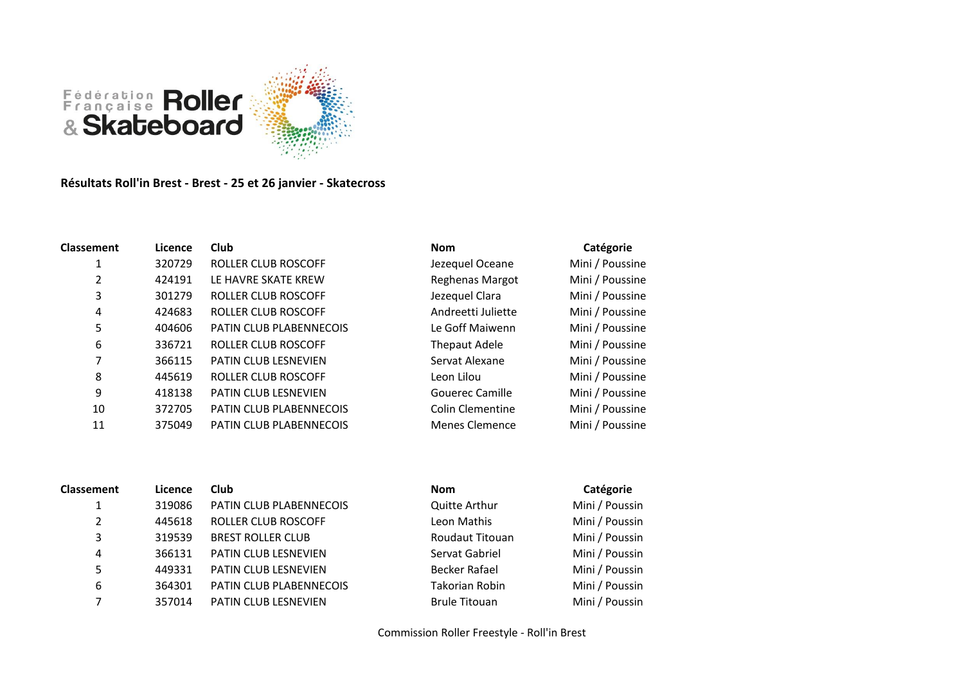

## **Résultats Roll'in Brest - Brest - 25 et 26 janvier - Skatecross**

| <b>Classement</b> | Licence | <b>Club</b>                | <b>Nom</b>              | Catégorie       |
|-------------------|---------|----------------------------|-------------------------|-----------------|
| 1                 | 320729  | ROLLER CLUB ROSCOFF        | Jezequel Oceane         | Mini / Poussine |
| 2                 | 424191  | LE HAVRE SKATE KREW        | <b>Reghenas Margot</b>  | Mini / Poussine |
| 3                 | 301279  | ROLLER CLUB ROSCOFF        | Jezequel Clara          | Mini / Poussine |
| 4                 | 424683  | ROLLER CLUB ROSCOFF        | Andreetti Juliette      | Mini / Poussine |
| 5                 | 404606  | PATIN CLUB PLABENNECOIS    | Le Goff Maiwenn         | Mini / Poussine |
| 6                 | 336721  | ROLLER CLUB ROSCOFF        | <b>Thepaut Adele</b>    | Mini / Poussine |
|                   | 366115  | PATIN CLUB LESNEVIEN       | Servat Alexane          | Mini / Poussine |
| 8                 | 445619  | <b>ROLLER CLUB ROSCOFF</b> | Leon Lilou              | Mini / Poussine |
| 9                 | 418138  | PATIN CLUB LESNEVIEN       | <b>Gouerec Camille</b>  | Mini / Poussine |
| 10                | 372705  | PATIN CLUB PLABENNECOIS    | <b>Colin Clementine</b> | Mini / Poussine |
| 11                | 375049  | PATIN CLUB PLABENNECOIS    | <b>Menes Clemence</b>   | Mini / Poussine |
|                   |         |                            |                         |                 |

| <b>Classement</b> | Licence | Club                     | <b>Nom</b>             | Catégorie      |
|-------------------|---------|--------------------------|------------------------|----------------|
| 1                 | 319086  | PATIN CLUB PLABENNECOIS  | Quitte Arthur          | Mini / Poussin |
| 2                 | 445618  | ROLLER CLUB ROSCOFF      | Leon Mathis            | Mini / Poussin |
| 3                 | 319539  | <b>BREST ROLLER CLUB</b> | <b>Roudaut Titouan</b> | Mini / Poussin |
| 4                 | 366131  | PATIN CLUB LESNEVIEN     | Servat Gabriel         | Mini / Poussin |
| 5                 | 449331  | PATIN CLUB LESNEVIEN     | <b>Becker Rafael</b>   | Mini / Poussin |
| 6                 | 364301  | PATIN CLUB PLABENNECOIS  | <b>Takorian Robin</b>  | Mini / Poussin |
| 7                 | 357014  | PATIN CLUB LESNEVIEN     | <b>Brule Titouan</b>   | Mini / Poussin |
|                   |         |                          |                        |                |

| Gouerec Camille         | Mini / Poussine |
|-------------------------|-----------------|
| <b>Colin Clementine</b> | Mini / Poussine |
| Menes Clemence          | Mini / Poussine |
|                         |                 |
|                         |                 |
|                         |                 |
| Nom                     | Catégorie       |
| <b>Quitte Arthur</b>    | Mini / Poussin  |
| Leon Mathis             | Mini / Poussin  |
| Roudaut Titouan         | Mini / Poussin  |

| Leon Mathis           | Mini / Poussin |
|-----------------------|----------------|
| Roudaut Titouan       | Mini / Poussin |
| Servat Gabriel        | Mini / Poussin |
| <b>Becker Rafael</b>  | Mini / Poussin |
| <b>Takorian Robin</b> | Mini / Poussin |
| <b>Brule Titouan</b>  | Mini / Poussin |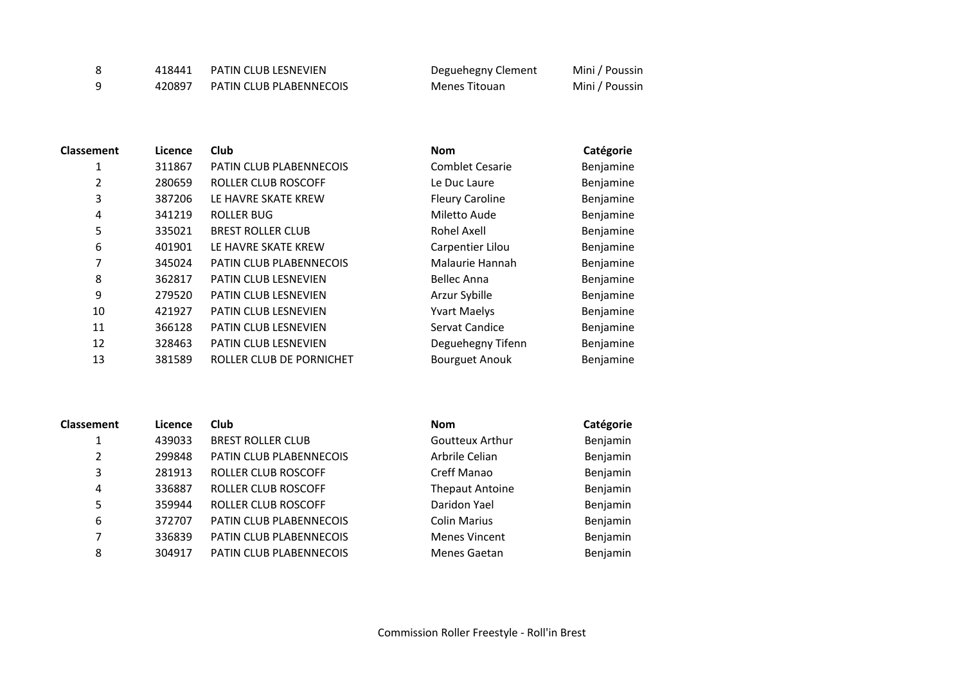| 418441 | <b>PATIN CLUB LESNEVIEN</b> | Deguehegny Clement | Mini / Poussin |
|--------|-----------------------------|--------------------|----------------|
| 420897 | PATIN CLUB PLABENNECOIS     | Menes Titouan      | Mini / Poussin |

| <b>Classement</b> | Licence | <b>Club</b>                 | <b>Nom</b>             | Catégorie |
|-------------------|---------|-----------------------------|------------------------|-----------|
| 1                 | 311867  | PATIN CLUB PLABENNECOIS     | <b>Comblet Cesarie</b> | Benjamine |
| 2                 | 280659  | ROLLER CLUB ROSCOFF         | Le Duc Laure           | Benjamine |
| 3                 | 387206  | LE HAVRE SKATE KREW         | <b>Fleury Caroline</b> | Benjamine |
| 4                 | 341219  | <b>ROLLER BUG</b>           | Miletto Aude           | Benjamine |
| 5                 | 335021  | <b>BREST ROLLER CLUB</b>    | Rohel Axell            | Benjamine |
| 6                 | 401901  | LE HAVRE SKATE KREW         | Carpentier Lilou       | Benjamine |
| 7                 | 345024  | PATIN CLUB PLABENNECOIS     | Malaurie Hannah        | Benjamine |
| 8                 | 362817  | PATIN CLUB LESNEVIEN        | <b>Bellec Anna</b>     | Benjamine |
| 9                 | 279520  | PATIN CLUB LESNEVIEN        | Arzur Sybille          | Benjamine |
| 10                | 421927  | <b>PATIN CLUB LESNEVIEN</b> | <b>Yvart Maelys</b>    | Benjamine |
| 11                | 366128  | PATIN CLUB LESNEVIEN        | Servat Candice         | Benjamine |
| 12                | 328463  | PATIN CLUB LESNEVIEN        | Deguehegny Tifenn      | Benjamine |
| 13                | 381589  | ROLLER CLUB DE PORNICHET    | <b>Bourguet Anouk</b>  | Benjamine |
|                   |         |                             |                        |           |

| <b>Classement</b> | Licence | <b>Club</b>                | <b>Nom</b>             | Catégorie |
|-------------------|---------|----------------------------|------------------------|-----------|
| 1                 | 439033  | <b>BREST ROLLER CLUB</b>   | Goutteux Arthur        | Benjamin  |
| $\overline{2}$    | 299848  | PATIN CLUB PLABENNECOIS    | Arbrile Celian         | Benjamin  |
| 3                 | 281913  | <b>ROLLER CLUB ROSCOFF</b> | Creff Manao            | Benjamin  |
| 4                 | 336887  | <b>ROLLER CLUB ROSCOFF</b> | <b>Thepaut Antoine</b> | Benjamin  |
| 5                 | 359944  | <b>ROLLER CLUB ROSCOFF</b> | Daridon Yael           | Benjamin  |
| 6                 | 372707  | PATIN CLUB PLABENNECOIS    | <b>Colin Marius</b>    | Benjamin  |
| 7                 | 336839  | PATIN CLUB PLABENNECOIS    | <b>Menes Vincent</b>   | Benjamin  |
| 8                 | 304917  | PATIN CLUB PLABENNECOIS    | Menes Gaetan           | Benjamin  |

| Nom                    | Catégorie |
|------------------------|-----------|
| Goutteux Arthur        | Benjamin  |
| Arbrile Celian         | Benjamin  |
| Creff Manao            | Benjamin  |
| <b>Thepaut Antoine</b> | Benjamin  |
| Daridon Yael           | Benjamin  |
| <b>Colin Marius</b>    | Benjamin  |
| <b>Menes Vincent</b>   | Benjamin  |
| Menes Gaetan           | Benjamin  |
|                        |           |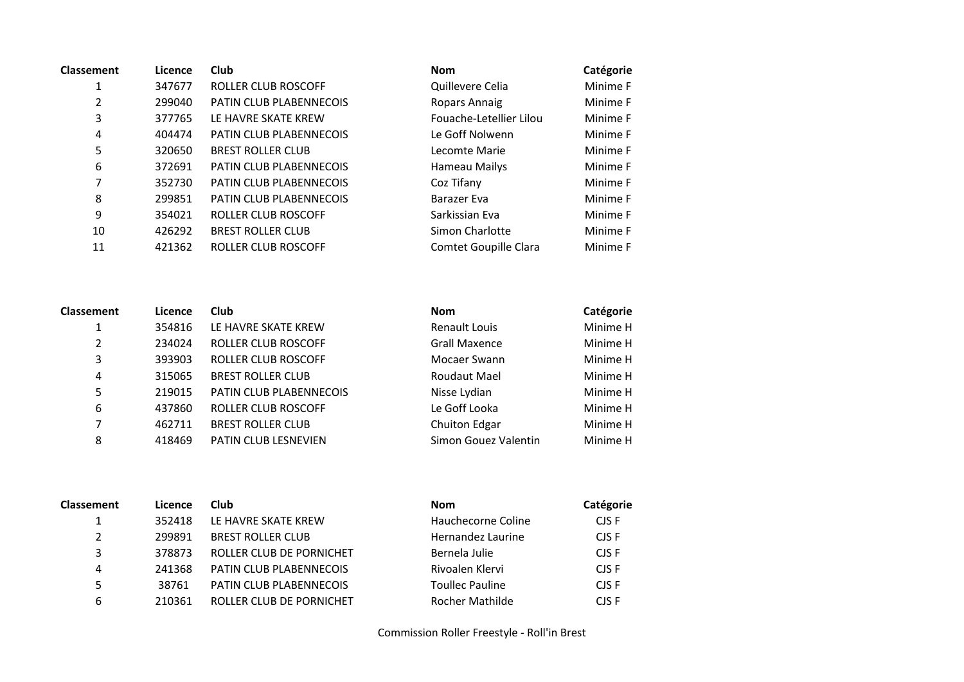| <b>Classement</b> | Licence | <b>Club</b>                    | <b>Nom</b>              | Catégorie |
|-------------------|---------|--------------------------------|-------------------------|-----------|
| 1                 | 347677  | ROLLER CLUB ROSCOFF            | Quillevere Celia        | Minime F  |
| 2                 | 299040  | PATIN CLUB PLABENNECOIS        | Ropars Annaig           | Minime F  |
| 3                 | 377765  | LE HAVRE SKATE KREW            | Fouache-Letellier Lilou | Minime F  |
| 4                 | 404474  | <b>PATIN CLUB PLABENNECOIS</b> | Le Goff Nolwenn         | Minime F  |
| 5                 | 320650  | <b>BREST ROLLER CLUB</b>       | Lecomte Marie           | Minime F  |
| 6                 | 372691  | PATIN CLUB PLABENNECOIS        | Hameau Mailys           | Minime F  |
| 7                 | 352730  | PATIN CLUB PLABENNECOIS        | Coz Tifany              | Minime F  |
| 8                 | 299851  | PATIN CLUB PLABENNECOIS        | Barazer Eva             | Minime F  |
| 9                 | 354021  | ROLLER CLUB ROSCOFF            | Sarkissian Eva          | Minime F  |
| 10                | 426292  | <b>BREST ROLLER CLUB</b>       | Simon Charlotte         | Minime F  |
| 11                | 421362  | ROLLER CLUB ROSCOFF            | Comtet Goupille Clara   | Minime F  |

| Nom                     | Catégorie |
|-------------------------|-----------|
| Quillevere Celia        | Minime F  |
| <b>Ropars Annaig</b>    | Minime F  |
| Fouache-Letellier Lilou | Minime F  |
| Le Goff Nolwenn         | Minime F  |
| Lecomte Marie           | Minime F  |
| Hameau Mailys           | Minime F  |
| Coz Tifany              | Minime F  |
| <b>Barazer Eva</b>      | Minime F  |
| Sarkissian Eva          | Minime F  |
| Simon Charlotte         | Minime F  |
| Comtet Goupille Clara   | Minime F  |

| <b>Classement</b> | Licence | Club                     | <b>Nom</b>           | Catégorie |
|-------------------|---------|--------------------------|----------------------|-----------|
| 1                 | 354816  | LE HAVRE SKATE KREW      | <b>Renault Louis</b> | Minime H  |
| $\overline{2}$    | 234024  | ROLLER CLUB ROSCOFF      | <b>Grall Maxence</b> | Minime H  |
| 3                 | 393903  | ROLLER CLUB ROSCOFF      | Mocaer Swann         | Minime H  |
| 4                 | 315065  | <b>BREST ROLLER CLUB</b> | Roudaut Mael         | Minime H  |
| 5                 | 219015  | PATIN CLUB PLABENNECOIS  | Nisse Lydian         | Minime H  |
| 6                 | 437860  | ROLLER CLUB ROSCOFF      | Le Goff Looka        | Minime H  |
| 7                 | 462711  | <b>BREST ROLLER CLUB</b> | <b>Chuiton Edgar</b> | Minime H  |
| 8                 | 418469  | PATIN CLUB LESNEVIEN     | Simon Gouez Valentin | Minime H  |
|                   |         |                          |                      |           |

| <b>Nom</b>           | Catégorie |
|----------------------|-----------|
| Renault Louis        | Minime H  |
| Grall Maxence        | Minime H  |
| Mocaer Swann         | Minime H  |
| Roudaut Mael         | Minime H  |
| Nisse Lydian         | Minime H  |
| Le Goff Looka        | Minime H  |
| <b>Chuiton Edgar</b> | Minime H  |
| Simon Gouez Valentin | Minime H  |

| <b>Classement</b> | Licence | <b>Club</b>                    | <b>Nom</b>             | Catégorie |
|-------------------|---------|--------------------------------|------------------------|-----------|
|                   | 352418  | LE HAVRE SKATE KREW            | Hauchecorne Coline     | CJS F     |
| $\overline{2}$    | 299891  | <b>BREST ROLLER CLUB</b>       | Hernandez Laurine      | CJS F     |
| 3                 | 378873  | ROLLER CLUB DE PORNICHET       | Bernela Julie          | CJS F     |
| 4                 | 241368  | <b>PATIN CLUB PLABENNECOIS</b> | Rivoalen Klervi        | CJS F     |
| 5                 | 38761   | <b>PATIN CLUB PLABENNECOIS</b> | <b>Toullec Pauline</b> | CJS F     |
| 6                 | 210361  | ROLLER CLUB DE PORNICHET       | <b>Rocher Mathilde</b> | CIS F     |
|                   |         |                                |                        |           |

| Nom                    | Catégorie |
|------------------------|-----------|
| Hauchecorne Coline     | CIS F     |
| Hernandez Laurine      | CJS F     |
| Bernela Julie          | CIS F     |
| Rivoalen Klervi        | CIS F     |
| <b>Toullec Pauline</b> | CIS F     |
| Rocher Mathilde        | CIS F     |